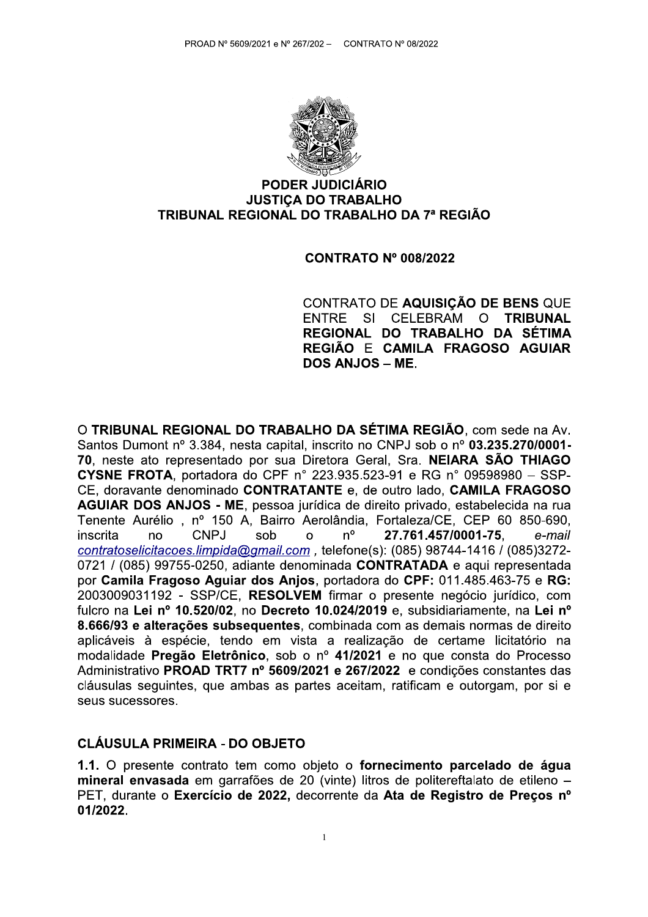

#### **PODER JUDICIÁRIO JUSTICA DO TRABALHO** TRIBUNAL REGIONAL DO TRABALHO DA 7ª REGIÃO

#### **CONTRATO Nº 008/2022**

CONTRATO DE AQUISIÇÃO DE BENS QUE SI CELEBRAM O ENTRE **TRIBUNAL** REGIONAL DO TRABALHO DA SÉTIMA REGIÃO E CAMILA FRAGOSO AGUIAR DOS ANJOS - ME.

O TRIBUNAL REGIONAL DO TRABALHO DA SÉTIMA REGIÃO, com sede na Av. Santos Dumont nº 3.384, nesta capital, inscrito no CNPJ sob o nº 03.235.270/0001-70, neste ato representado por sua Diretora Geral, Sra. NEIARA SÃO THIAGO **CYSNE FROTA**, portadora do CPF nº 223.935.523-91 e RG nº 09598980 - SSP-CE, doravante denominado CONTRATANTE e, de outro lado, CAMILA FRAGOSO AGUIAR DOS ANJOS - ME, pessoa jurídica de direito privado, estabelecida na rua Tenente Aurélio, nº 150 A, Bairro Aerolândia, Fortaleza/CE, CEP 60 850-690. inscrita CNPJ sob  $\Omega$  $n^{\circ}$ 27.761.457/0001-75.  $n<sub>0</sub>$ e-mail contratoselicitacoes.limpida@gmail.com, telefone(s): (085) 98744-1416 / (085)3272-0721 / (085) 99755-0250, adiante denominada CONTRATADA e aqui representada por Camila Fragoso Aguiar dos Anjos, portadora do CPF: 011.485.463-75 e RG: 2003009031192 - SSP/CE. RESOLVEM firmar o presente negócio jurídico, com fulcro na Lei nº 10.520/02, no Decreto 10.024/2019 e, subsidiariamente, na Lei nº 8.666/93 e alterações subsequentes, combinada com as demais normas de direito aplicáveis à espécie, tendo em vista a realização de certame licitatório na modalidade Pregão Eletrônico, sob o nº 41/2021 e no que consta do Processo Administrativo PROAD TRT7 nº 5609/2021 e 267/2022 e condições constantes das cláusulas sequintes, que ambas as partes aceitam, ratificam e outorgam, por si e seus sucessores.

#### **CLÁUSULA PRIMEIRA - DO OBJETO**

1.1. O presente contrato tem como objeto o fornecimento parcelado de água mineral envasada em garrafões de 20 (vinte) litros de politereftalato de etileno -PET, durante o Exercício de 2022, decorrente da Ata de Registro de Precos nº 01/2022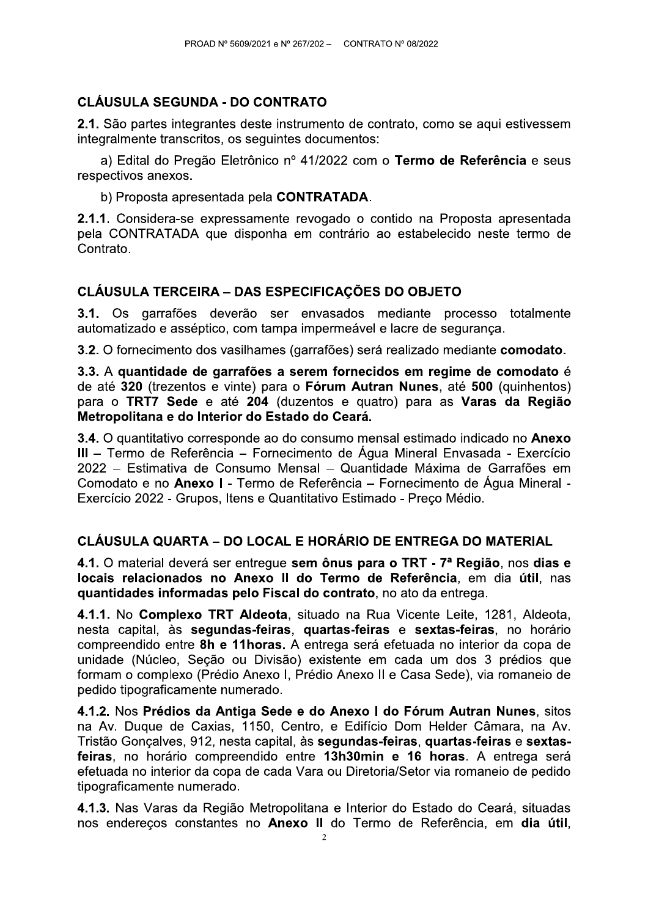# **CLÁUSULA SEGUNDA - DO CONTRATO**

2.1. São partes integrantes deste instrumento de contrato, como se aqui estivessem integralmente transcritos, os seguintes documentos:

a) Edital do Pregão Eletrônico nº 41/2022 com o Termo de Referência e seus respectivos anexos.

b) Proposta apresentada pela CONTRATADA.

2.1.1. Considera-se expressamente revogado o contido na Proposta apresentada pela CONTRATADA que disponha em contrário ao estabelecido neste termo de Contrato.

# **CLÁUSULA TERCEIRA – DAS ESPECIFICAÇÕES DO OBJETO**

3.1. Os garrafões deverão ser envasados mediante processo totalmente automatizado e asséptico, com tampa impermeável e lacre de segurança.

3.2. O fornecimento dos vasilhames (garrafões) será realizado mediante comodato.

3.3. A quantidade de garrafões a serem fornecidos em regime de comodato é de até 320 (trezentos e vinte) para o Fórum Autran Nunes, até 500 (quinhentos) para o TRT7 Sede e até 204 (duzentos e quatro) para as Varas da Região Metropolitana e do Interior do Estado do Ceará.

3.4. O quantitativo corresponde ao do consumo mensal estimado indicado no Anexo III - Termo de Referência - Fornecimento de Água Mineral Envasada - Exercício 2022 – Estimativa de Consumo Mensal – Quantidade Máxima de Garrafões em Comodato e no Anexo I - Termo de Referência – Fornecimento de Água Mineral -Exercício 2022 - Grupos, Itens e Quantitativo Estimado - Preco Médio.

### CLÁUSULA QUARTA – DO LOCAL E HORÁRIO DE ENTREGA DO MATERIAL

4.1. O material deverá ser entregue sem ônus para o TRT - 7ª Região, nos dias e locais relacionados no Anexo II do Termo de Referência, em dia útil, nas guantidades informadas pelo Fiscal do contrato, no ato da entrega.

4.1.1. No Complexo TRT Aldeota, situado na Rua Vicente Leite, 1281, Aldeota, nesta capital, às segundas-feiras, quartas-feiras e sextas-feiras, no horário compreendido entre 8h e 11 horas. A entrega será efetuada no interior da copa de unidade (Núcleo, Seção ou Divisão) existente em cada um dos 3 prédios que formam o complexo (Prédio Anexo I, Prédio Anexo II e Casa Sede), via romaneio de pedido tipograficamente numerado.

4.1.2. Nos Prédios da Antiga Sede e do Anexo I do Fórum Autran Nunes, sitos na Av. Duque de Caxias, 1150, Centro, e Edifício Dom Helder Câmara, na Av. Tristão Gonçalves, 912, nesta capital, às segundas-feiras, quartas-feiras e sextasfeiras, no horário compreendido entre 13h30min e 16 horas. A entrega será efetuada no interior da copa de cada Vara ou Diretoria/Setor via romaneio de pedido tipograficamente numerado.

4.1.3. Nas Varas da Região Metropolitana e Interior do Estado do Ceará, situadas nos endereços constantes no Anexo II do Termo de Referência, em dia útil,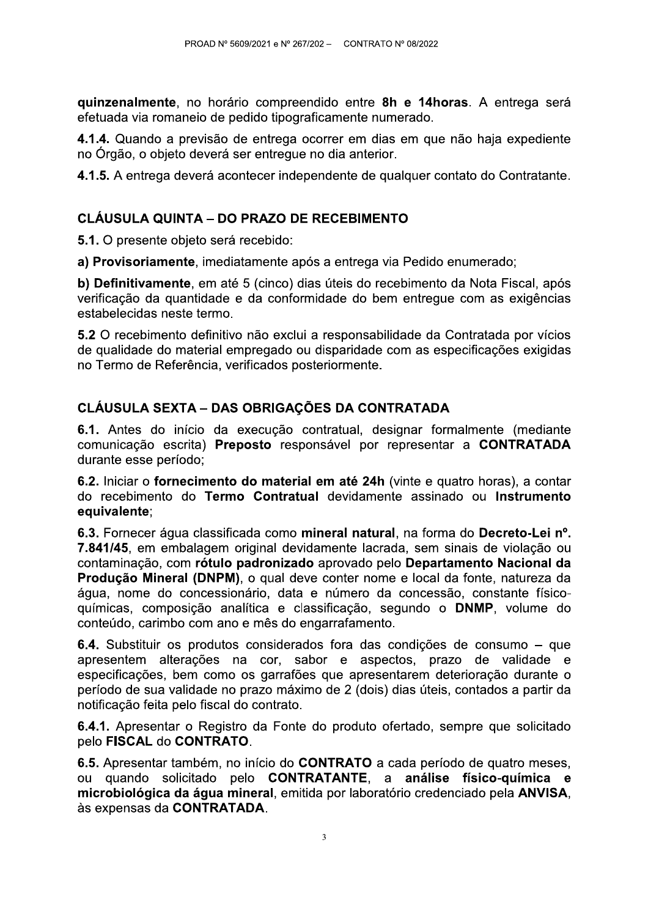quinzenalmente, no horário compreendido entre 8h e 14horas. A entrega será efetuada via romaneio de pedido tipograficamente numerado.

4.1.4. Quando a previsão de entrega ocorrer em dias em que não haja expediente no Órgão, o objeto deverá ser entregue no dia anterior.

4.1.5. A entrega deverá acontecer independente de qualquer contato do Contratante.

# **CLÁUSULA QUINTA – DO PRAZO DE RECEBIMENTO**

5.1. O presente objeto será recebido:

a) Provisoriamente, imediatamente após a entrega via Pedido enumerado;

b) Definitivamente, em até 5 (cinco) dias úteis do recebimento da Nota Fiscal, após verificação da quantidade e da conformidade do bem entregue com as exigências estabelecidas neste termo.

5.2 O recebimento definitivo não exclui a responsabilidade da Contratada por vícios de qualidade do material empregado ou disparidade com as especificações exigidas no Termo de Referência, verificados posteriormente.

# **CLÁUSULA SEXTA - DAS OBRIGAÇÕES DA CONTRATADA**

6.1. Antes do início da execução contratual, designar formalmente (mediante comunicação escrita) Preposto responsável por representar a CONTRATADA durante esse período:

6.2. Iniciar o fornecimento do material em até 24h (vinte e quatro horas), a contar do recebimento do Termo Contratual devidamente assinado ou Instrumento equivalente;

6.3. Fornecer áqua classificada como mineral natural, na forma do Decreto-Lei nº. 7.841/45, em embalagem original devidamente lacrada, sem sinais de violação ou contaminação, com rótulo padronizado aprovado pelo Departamento Nacional da Produção Mineral (DNPM), o qual deve conter nome e local da fonte, natureza da água, nome do concessionário, data e número da concessão, constante físicoguímicas, composição analítica e classificação, segundo o DNMP, volume do conteúdo, carimbo com ano e mês do engarrafamento.

6.4. Substituir os produtos considerados fora das condições de consumo – que apresentem alterações na cor, sabor e aspectos, prazo de validade e especificações, bem como os garrafões que apresentarem deterioração durante o período de sua validade no prazo máximo de 2 (dois) dias úteis, contados a partir da notificação feita pelo fiscal do contrato.

6.4.1. Apresentar o Registro da Fonte do produto ofertado, sempre que solicitado pelo FISCAL do CONTRATO.

6.5. Apresentar também, no início do CONTRATO a cada período de quatro meses, ou quando solicitado pelo CONTRATANTE, a análise físico-química e microbiológica da água mineral, emitida por laboratório credenciado pela ANVISA, às expensas da CONTRATADA.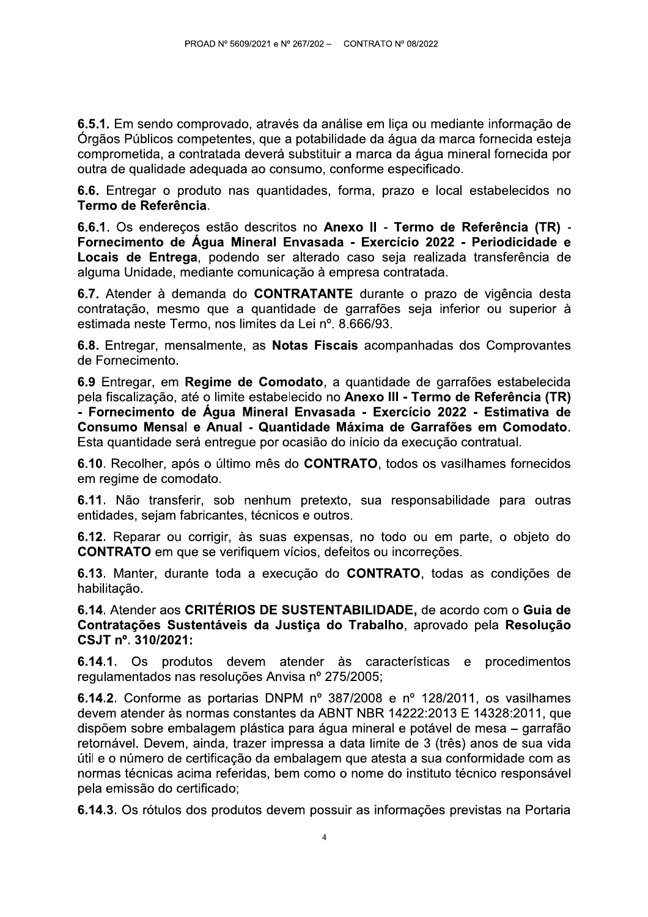6.5.1. Em sendo comprovado, através da análise em liça ou mediante informação de Órgãos Públicos competentes, que a potabilidade da água da marca fornecida esteja comprometida, a contratada deverá substituir a marca da água mineral fornecida por outra de qualidade adequada ao consumo, conforme especificado.

6.6. Entregar o produto nas quantidades, forma, prazo e local estabelecidos no Termo de Referência.

6.6.1. Os endereços estão descritos no Anexo II - Termo de Referência (TR) -Fornecimento de Água Mineral Envasada - Exercício 2022 - Periodicidade e Locais de Entrega, podendo ser alterado caso seja realizada transferência de alguma Unidade, mediante comunicação à empresa contratada.

6.7. Atender à demanda do CONTRATANTE durante o prazo de vigência desta contratação, mesmo que a quantidade de garrafões seja inferior ou superior à estimada neste Termo, nos limites da Lei nº. 8.666/93.

6.8. Entregar, mensalmente, as Notas Fiscais acompanhadas dos Comprovantes de Fornecimento.

6.9 Entregar, em Regime de Comodato, a quantidade de garrafões estabelecida pela fiscalização, até o limite estabelecido no Anexo III - Termo de Referência (TR) - Fornecimento de Água Mineral Envasada - Exercício 2022 - Estimativa de Consumo Mensal e Anual - Quantidade Máxima de Garrafões em Comodato. Esta quantidade será entregue por ocasião do início da execução contratual.

6.10. Recolher, após o último mês do CONTRATO, todos os vasilhames fornecidos em regime de comodato.

6.11. Não transferir, sob nenhum pretexto, sua responsabilidade para outras entidades, sejam fabricantes, técnicos e outros.

6.12. Reparar ou corrigir, às suas expensas, no todo ou em parte, o objeto do **CONTRATO** em que se verifiquem vícios, defeitos ou incorreções.

6.13. Manter, durante toda a execução do CONTRATO, todas as condições de habilitação.

6.14. Atender aos CRITÉRIOS DE SUSTENTABILIDADE, de acordo com o Guia de Contratações Sustentáveis da Justiça do Trabalho, aprovado pela Resolução CSJT nº. 310/2021:

6.14.1. Os produtos devem atender às características e procedimentos regulamentados nas resoluções Anvisa nº 275/2005;

6.14.2. Conforme as portarias DNPM nº 387/2008 e nº 128/2011, os vasilhames devem atender às normas constantes da ABNT NBR 14222:2013 E 14328:2011, que dispõem sobre embalagem plástica para água mineral e potável de mesa – garrafão retornável. Devem, ainda, trazer impressa a data limite de 3 (três) anos de sua vida útil e o número de certificação da embalagem que atesta a sua conformidade com as normas técnicas acima referidas, bem como o nome do instituto técnico responsável pela emissão do certificado;

6.14.3. Os rótulos dos produtos devem possuir as informações previstas na Portaria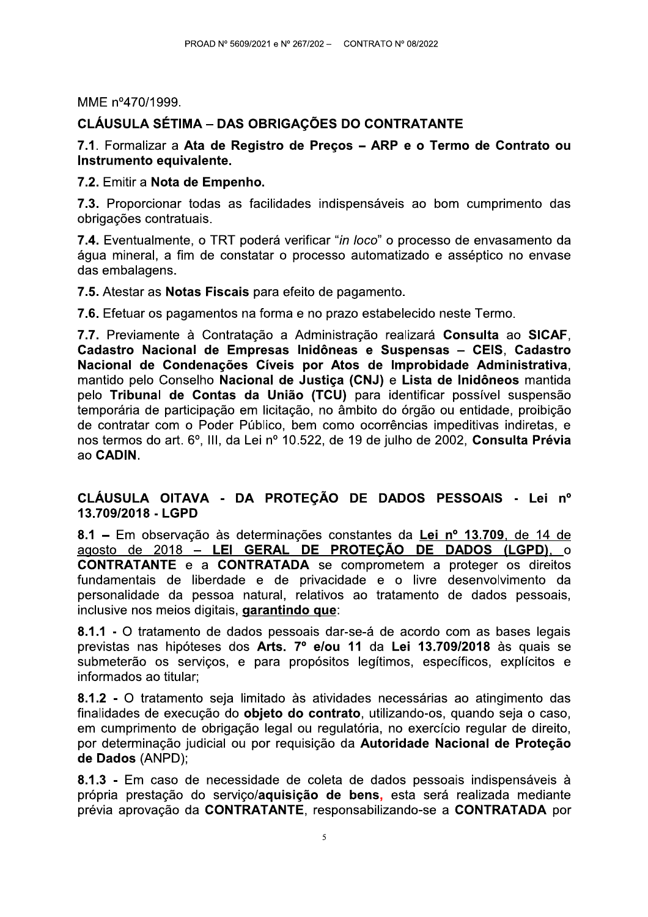MME nº470/1999.

PROAD N° 5609/2021 e N° 267/202 – CONTRATO N° 08/2022<br>
MME n°470/1999.<br>
CLÁUSULA SÉTIMA – DAS OBRIGAÇÕES DO CONTRATANTE<br>
7.1. Formalizar a Ata de Registro de Preços – ARP e o Termo de Contrato ou<br>
Instrumento equivalente.<br> das embalagens.

7.5. Atestar as Notas Fiscais para efeito de pagamento.

7.6. Efetuar os pagamentos na forma e no prazo estabelecido neste Termo.

7.7. Previamente à Contratação a Administração realizará Consulta ao SICAF, Cadastro Nacional de Empresas Inidôneas e Suspensas - CEIS, Cadastro Nacional de Condenações Cíveis por Atos de Improbidade Administrativa. mantido pelo Conselho Nacional de Justiça (CNJ) e Lista de Inidôneos mantida pelo Tribunal de Contas da União (TCU) para identificar possível suspensão temporária de participação em licitação, no âmbito do órgão ou entidade, proibição de contratar com o Poder Público, bem como ocorrências impeditivas indiretas, e hos termos do art. 6º, III, da Lei nº 10.522, de 19 de juino de 2002, **Consuita Previa**<br>Desembros mantido pelo Conselho **Nacional de Justiça (CNJ)** e Lista de Inidôneos mantida<br>pelo Tribunal de Contas da União (TCU) para identificar possível suspensão<br>temporária de participação em licitação, no âmbito do órgão ou entid

m o Poder Publico, bem como ocorrencias impeditivas indiretas, e<br>art. 6°, III, da Lei n° 10.522, de 19 de julho de 2002, Consulta Prévia<br> **IITAVA** - DA PROTEÇÃO DE DADOS PESSOAIS - Lei n°<br> **IITAVA** - DA PROTEÇÃO DE DADOS P The SCADIN.<br>
CLÁUSULA OITAVA - DA PROTEÇÃO DE DADOS PESSOAIS - Lei nº<br>
13.709/2018 - LGPD<br>
8.1 – Em observação às determinações constantes da <u>Lei nº 13.709 de 14 de</u><br>
agosto de 2018 – LEI GERAL DE PROTEÇÃO DE DADOS (LGPD)

8.1.1 - O tratamento de dados pessoais dar-se-a de acordo com as bases legais previstas nas hipóteses dos Arts. 7º e/ou 11 da Lei 13.709/2018 às quais se submeterão os servicos, e para propósitos legítimos, específicos, explícitos e informados ao titular:

8.1.2 - O tratamento seja limitado as atividades necessarias ao atingimento das finalidades de execução do objeto do contrato, utilizando-os, quando seja o caso, em cumprimento de obrigação legal ou regulatória, no exercício regular de direito, por determinação judicial ou por requisição da Autoridade Nacional de Proteção de Dados (ANPD); 8.1.2 - O tratamento seja limitado às atividades necessárias ao atingimento das<br>finalidades de execução do **objeto do contrato**, utilizando-os, quando seja o caso,<br>em cumprimento de obrigação legal ou regulatória, no exerc

8.1.3 - Em caso de necessidade de coleta de dados pessoais indispensáveis à própria prestação do servico/aquisição de bens, esta será realizada mediante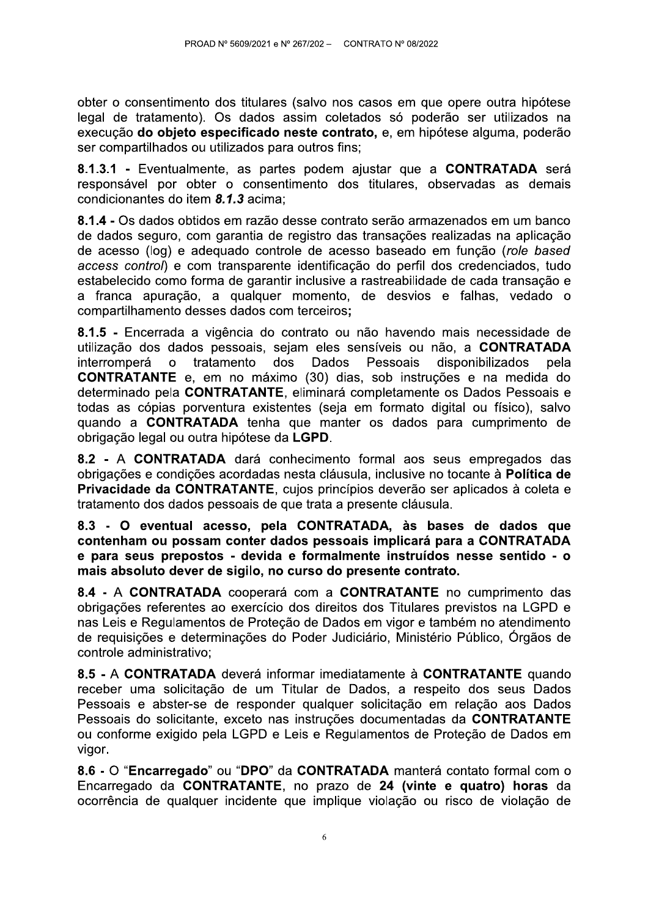obter o consentimento dos titulares (salvo nos casos em que opere outra hipótese legal de tratamento). Os dados assim coletados só poderão ser utilizados na execução do objeto especificado neste contrato, e, em hipótese alguma, poderão ser compartilhados ou utilizados para outros fins;

8.1.3.1 - Eventualmente, as partes podem ajustar que a CONTRATADA será responsável por obter o consentimento dos titulares, observadas as demais condicionantes do item 8.1.3 acima:

8.1.4 - Os dados obtidos em razão desse contrato serão armazenados em um banco de dados seguro, com garantia de registro das transações realizadas na aplicação de acesso (log) e adequado controle de acesso baseado em função (role based access control) e com transparente identificação do perfil dos credenciados, tudo estabelecido como forma de garantir inclusive a rastreabilidade de cada transação e a franca apuração, a qualquer momento, de desvios e falhas, vedado o compartilhamento desses dados com terceiros;

8.1.5 - Encerrada a vigência do contrato ou não havendo mais necessidade de utilização dos dados pessoais, sejam eles sensíveis ou não, a CONTRATADA interromperá  $\mathbf{o}$ tratamento dos Dados Pessoais disponibilizados pela **CONTRATANTE** e, em no máximo (30) dias, sob instruções e na medida do determinado pela CONTRATANTE, eliminará completamente os Dados Pessoais e todas as cópias porventura existentes (seja em formato digital ou físico), salvo quando a CONTRATADA tenha que manter os dados para cumprimento de obrigação legal ou outra hipótese da LGPD.

8.2 - A CONTRATADA dará conhecimento formal aos seus empregados das obrigações e condições acordadas nesta cláusula, inclusive no tocante à **Política de** Privacidade da CONTRATANTE, cujos princípios deverão ser aplicados à coleta e tratamento dos dados pessoais de que trata a presente cláusula.

8.3 - O eventual acesso, pela CONTRATADA, às bases de dados que contenham ou possam conter dados pessoais implicará para a CONTRATADA e para seus prepostos - devida e formalmente instruídos nesse sentido - o mais absoluto dever de sigilo, no curso do presente contrato.

8.4 - A CONTRATADA cooperará com a CONTRATANTE no cumprimento das obrigações referentes ao exercício dos direitos dos Titulares previstos na LGPD e nas Leis e Regulamentos de Proteção de Dados em vigor e também no atendimento de requisições e determinações do Poder Judiciário, Ministério Público, Órgãos de controle administrativo;

8.5 - A CONTRATADA deverá informar imediatamente à CONTRATANTE quando receber uma solicitação de um Titular de Dados, a respeito dos seus Dados Pessoais e abster-se de responder qualquer solicitação em relação aos Dados Pessoais do solicitante, exceto nas instruções documentadas da CONTRATANTE ou conforme exigido pela LGPD e Leis e Regulamentos de Proteção de Dados em vigor.

8.6 - O "Encarregado" ou "DPO" da CONTRATADA manterá contato formal com o Encarregado da CONTRATANTE, no prazo de 24 (vinte e quatro) horas da ocorrência de qualquer incidente que implique violação ou risco de violação de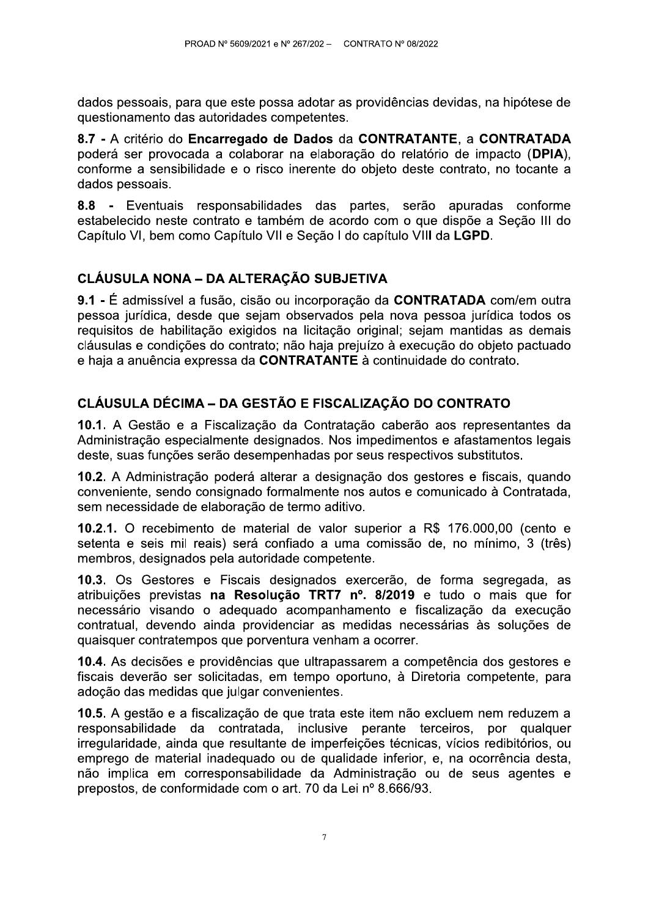dados pessoais, para que este possa adotar as providências devidas, na hipótese de questionamento das autoridades competentes.

8.7 - A critério do Encarregado de Dados da CONTRATANTE, a CONTRATADA poderá ser provocada a colaborar na elaboração do relatório de impacto (DPIA), conforme a sensibilidade e o risco inerente do objeto deste contrato, no tocante a dados pessoais.

8.8 - Eventuais responsabilidades das partes, serão apuradas conforme estabelecido neste contrato e também de acordo com o que dispõe a Seção III do Capítulo VI, bem como Capítulo VII e Seção I do capítulo VIII da LGPD.

# CLÁUSULA NONA – DA ALTERAÇÃO SUBJETIVA

9.1 - É admissível a fusão, cisão ou incorporação da CONTRATADA com/em outra pessoa jurídica, desde que sejam observados pela nova pessoa jurídica todos os requisitos de habilitação exigidos na licitação original; sejam mantidas as demais cláusulas e condições do contrato: não haja prejuízo à execução do objeto pactuado e haja a anuência expressa da CONTRATANTE à continuidade do contrato.

# CLÁUSULA DÉCIMA – DA GESTÃO E FISCALIZAÇÃO DO CONTRATO

10.1. A Gestão e a Fiscalização da Contratação caberão aos representantes da Administração especialmente designados. Nos impedimentos e afastamentos legais deste, suas funções serão desempenhadas por seus respectivos substitutos.

10.2. A Administração poderá alterar a designação dos gestores e fiscais, quando conveniente, sendo consignado formalmente nos autos e comunicado à Contratada, sem necessidade de elaboração de termo aditivo.

**10.2.1.** O recebimento de material de valor superior a R\$ 176.000.00 (cento e setenta e seis mil reais) será confiado a uma comissão de, no mínimo. 3 (três) membros, designados pela autoridade competente.

10.3. Os Gestores e Fiscais designados exercerão, de forma segregada, as atribuições previstas na Resolução TRT7 nº. 8/2019 e tudo o mais que for necessário visando o adequado acompanhamento e fiscalização da execução contratual, devendo ainda providenciar as medidas necessárias às soluções de quaisquer contratempos que porventura venham a ocorrer.

10.4. As decisões e providências que ultrapassarem a competência dos gestores e fiscais deverão ser solicitadas, em tempo oportuno, à Diretoria competente, para adoção das medidas que julgar convenientes.

10.5. A gestão e a fiscalização de que trata este item não excluem nem reduzem a responsabilidade da contratada, inclusive perante terceiros, por qualquer irregularidade, ainda que resultante de imperfeições técnicas, vícios redibitórios, ou emprego de material inadeguado ou de qualidade inferior, e, na ocorrência desta, não implica em corresponsabilidade da Administração ou de seus agentes e prepostos, de conformidade com o art. 70 da Lei nº 8.666/93.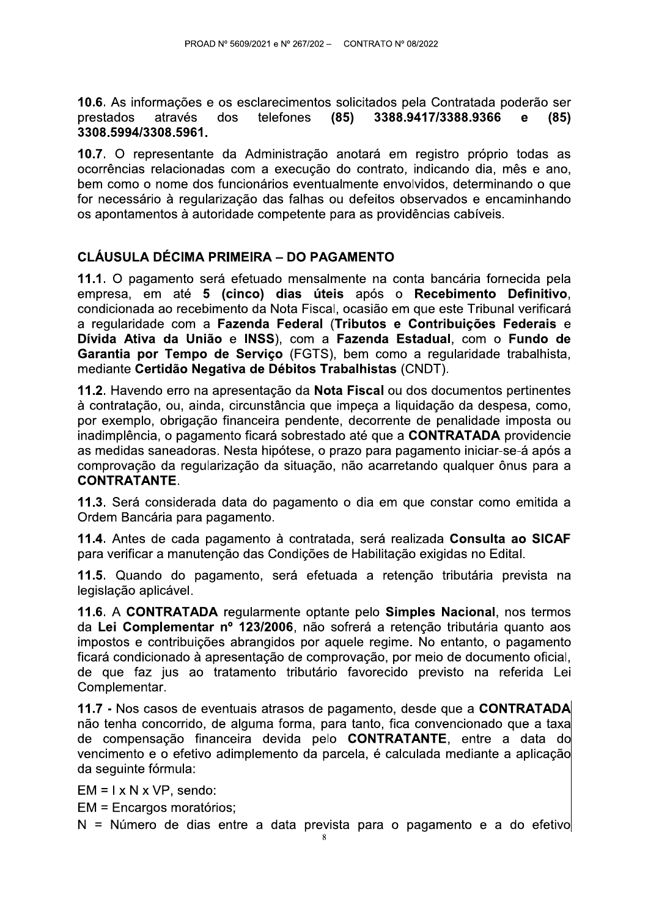10.6. As informações e os esclarecimentos solicitados pela Contratada poderão ser 3388.9417/3388.9366 prestados através dos telefones  $(85)$  $(85)$  $\mathbf{e}$ 3308.5994/3308.5961.

10.7. O representante da Administração anotará em registro próprio todas as ocorrências relacionadas com a execução do contrato, indicando dia, mês e ano, bem como o nome dos funcionários eventualmente envolvidos, determinando o que for necessário à regularização das falhas ou defeitos observados e encaminhando os apontamentos à autoridade competente para as providências cabíveis.

### **CLÁUSULA DÉCIMA PRIMEIRA – DO PAGAMENTO**

11.1. O pagamento será efetuado mensalmente na conta bancária fornecida pela empresa, em até 5 (cinco) dias úteis após o Recebimento Definitivo, condicionada ao recebimento da Nota Fiscal, ocasião em que este Tribunal verificará a regularidade com a Fazenda Federal (Tributos e Contribuições Federais e Dívida Ativa da União e INSS), com a Fazenda Estadual, com o Fundo de Garantia por Tempo de Serviço (FGTS), bem como a regularidade trabalhista, mediante Certidão Negativa de Débitos Trabalhistas (CNDT).

11.2. Havendo erro na apresentação da Nota Fiscal ou dos documentos pertinentes à contratação, ou, ainda, circunstância que impeca a liquidação da despesa, como, por exemplo, obrigação financeira pendente, decorrente de penalidade imposta ou inadimplência, o pagamento ficará sobrestado até que a CONTRATADA providencie as medidas saneadoras. Nesta hipótese, o prazo para pagamento iniciar-se-á após a comprovação da regularização da situação, não acarretando qualquer ônus para a **CONTRATANTE.** 

11.3. Será considerada data do pagamento o dia em que constar como emitida a Ordem Bancária para pagamento.

11.4. Antes de cada pagamento à contratada, será realizada Consulta ao SICAF para verificar a manutenção das Condições de Habilitação exigidas no Edital.

11.5. Quando do pagamento, será efetuada a retenção tributária prevista na legislacão aplicável.

11.6. A CONTRATADA regularmente optante pelo Simples Nacional, nos termos da Lei Complementar nº 123/2006, não sofrerá a retenção tributária quanto aos impostos e contribuições abrangidos por aquele regime. No entanto, o pagamento ficará condicionado à apresentação de comprovação, por meio de documento oficial, de que faz jus ao tratamento tributário favorecido previsto na referida Lei Complementar.

11.7 - Nos casos de eventuais atrasos de pagamento, desde que a CONTRATADA não tenha concorrido, de alguma forma, para tanto, fica convencionado que a taxa de compensação financeira devida pelo **CONTRATANTE**, entre a data do vencimento e o efetivo adimplemento da parcela, é calculada mediante a aplicação da sequinte fórmula:

 $EM = I \times N \times VP$ , sendo:

EM = Encargos moratórios:

N = Número de dias entre a data prevista para o pagamento e a do efetivo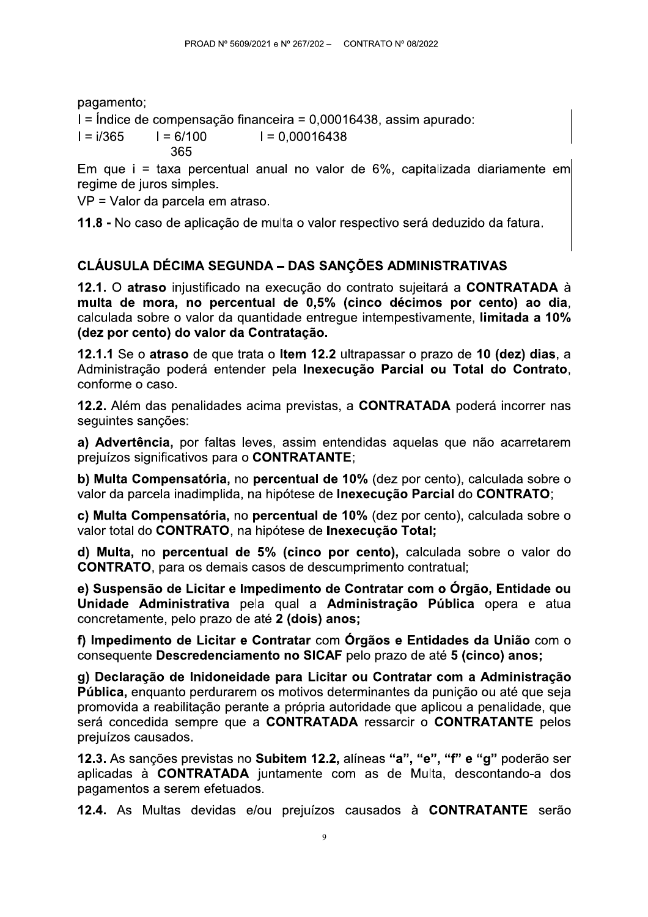pagamento;

I = Índice de compensação financeira = 0,00016438, assim apurado:

 $I = i/365$  $I = 6/100$  $I = 0.00016438$ 365

Em que i = taxa percentual anual no valor de 6%, capitalizada diariamente em regime de juros simples.

VP = Valor da parcela em atraso.

11.8 - No caso de aplicação de multa o valor respectivo será deduzido da fatura.

# CLÁUSULA DÉCIMA SEGUNDA – DAS SANÇÕES ADMINISTRATIVAS

12.1. O atraso injustificado na execução do contrato sujeitará a CONTRATADA à multa de mora, no percentual de 0,5% (cinco décimos por cento) ao dia, calculada sobre o valor da quantidade entreque intempestivamente. limitada a 10% (dez por cento) do valor da Contratação.

12.1.1 Se o atraso de que trata o Item 12.2 ultrapassar o prazo de 10 (dez) dias, a Administração poderá entender pela Inexecução Parcial ou Total do Contrato, conforme o caso.

12.2. Além das penalidades acima previstas, a CONTRATADA poderá incorrer nas seguintes sanções:

a) Advertência, por faltas leves, assim entendidas aquelas que não acarretarem prejuízos significativos para o CONTRATANTE;

b) Multa Compensatória, no percentual de 10% (dez por cento), calculada sobre o valor da parcela inadimplida, na hipótese de Inexecução Parcial do CONTRATO;

c) Multa Compensatória, no percentual de 10% (dez por cento), calculada sobre o valor total do CONTRATO, na hipótese de Inexecução Total;

d) Multa, no percentual de 5% (cinco por cento), calculada sobre o valor do **CONTRATO**, para os demais casos de descumprimento contratual;

e) Suspensão de Licitar e Impedimento de Contratar com o Órgão, Entidade ou Unidade Administrativa pela qual a Administração Pública opera e atua concretamente, pelo prazo de até 2 (dois) anos;

f) Impedimento de Licitar e Contratar com Órgãos e Entidades da União com o consequente Descredenciamento no SICAF pelo prazo de até 5 (cinco) anos;

g) Declaração de Inidoneidade para Licitar ou Contratar com a Administração Pública, enquanto perdurarem os motivos determinantes da punição ou até que seja promovida a reabilitação perante a própria autoridade que aplicou a penalidade, que será concedida sempre que a CONTRATADA ressarcir o CONTRATANTE pelos prejuízos causados.

12.3. As sanções previstas no Subitem 12.2, alíneas "a", "e", "f" e "g" poderão ser aplicadas à CONTRATADA juntamente com as de Multa, descontando-a dos pagamentos a serem efetuados.

12.4. As Multas devidas e/ou prejuízos causados à CONTRATANTE serão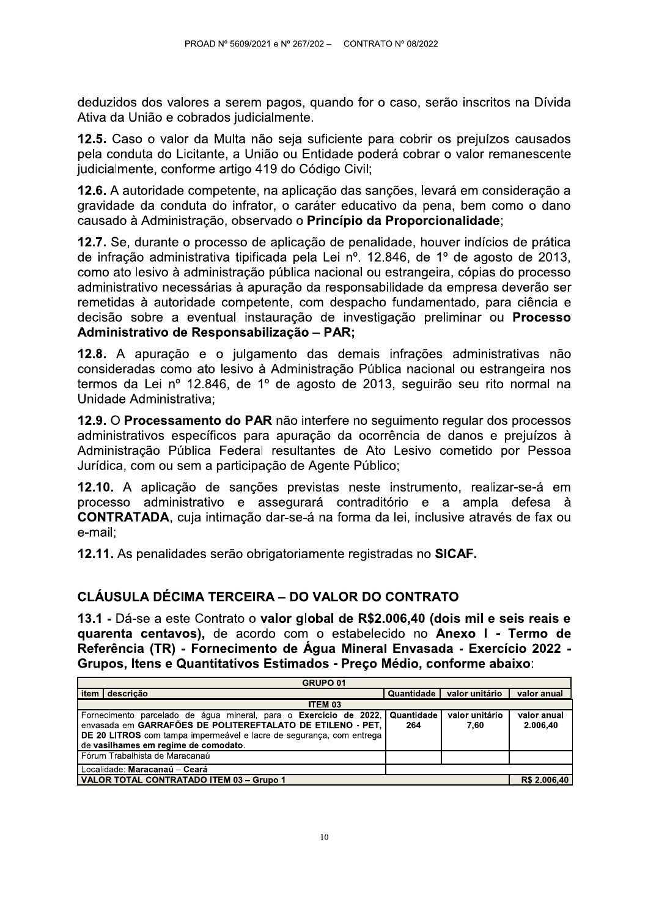deduzidos dos valores a serem pagos, quando for o caso, serão inscritos na Dívida Ativa da União e cobrados judicialmente.

12.5. Caso o valor da Multa não seja suficiente para cobrir os prejuízos causados pela conduta do Licitante, a União ou Entidade poderá cobrar o valor remanescente judicialmente, conforme artigo 419 do Código Civil;

12.6. A autoridade competente, na aplicação das sanções, levará em consideração a gravidade da conduta do infrator, o caráter educativo da pena, bem como o dano causado à Administração, observado o Princípio da Proporcionalidade;

12.7. Se, durante o processo de aplicação de penalidade, houver indícios de prática de infração administrativa tipificada pela Lei nº. 12.846, de 1º de agosto de 2013, como ato lesivo à administração pública nacional ou estrangeira, cópias do processo administrativo necessárias à apuração da responsabilidade da empresa deverão ser remetidas à autoridade competente, com despacho fundamentado, para ciência e decisão sobre a eventual instauração de investigação preliminar ou **Processo** Administrativo de Responsabilização - PAR;

12.8. A apuração e o julgamento das demais infrações administrativas não consideradas como ato lesivo à Administração Pública nacional ou estrangeira nos termos da Lei nº 12.846, de 1º de agosto de 2013, seguirão seu rito normal na Unidade Administrativa;

12.9. O Processamento do PAR não interfere no seguimento regular dos processos administrativos específicos para apuração da ocorrência de danos e prejuízos à Administração Pública Federal resultantes de Ato Lesivo cometido por Pessoa Jurídica, com ou sem a participação de Agente Público;

12.10. A aplicação de sanções previstas neste instrumento, realizar-se-á em processo administrativo e assegurará contraditório e a ampla defesa à **CONTRATADA**, cuja intimação dar-se-á na forma da lei, inclusive através de fax ou e-mail:

12.11. As penalidades serão obrigatoriamente registradas no SICAF.

### CLÁUSULA DÉCIMA TERCEIRA – DO VALOR DO CONTRATO

13.1 - Dá-se a este Contrato o valor global de R\$2.006,40 (dois mil e seis reais e quarenta centavos), de acordo com o estabelecido no Anexo I - Termo de Referência (TR) - Fornecimento de Água Mineral Envasada - Exercício 2022 -Grupos. Itens e Quantitativos Estimados - Preco Médio, conforme abaixo:

| GRUPO 01                                                                                                                                                                        |           |            |                         |              |
|---------------------------------------------------------------------------------------------------------------------------------------------------------------------------------|-----------|------------|-------------------------|--------------|
| l item I                                                                                                                                                                        | descricão | Quantidade | valor unitário          | valor anual  |
| ITEM 03                                                                                                                                                                         |           |            |                         |              |
| Fornecimento parcelado de água mineral, para o Exercício de 2022,   Quantidade  <br>valor unitário<br>envasada em GARRAFÕES DE POLITEREFTALATO DE ETILENO - PET,<br>264<br>7.60 |           |            | valor anual<br>2.006,40 |              |
| DE 20 LITROS com tampa impermeável e lacre de segurança, com entrega<br>  de vasilhames em regime de comodato.                                                                  |           |            |                         |              |
| l Fórum Trabalhista de Maracanaú                                                                                                                                                |           |            |                         |              |
| Localidade: Maracanaú – Ceará                                                                                                                                                   |           |            |                         |              |
| VALOR TOTAL CONTRATADO ITEM 03 - Grupo 1                                                                                                                                        |           |            |                         | R\$ 2.006,40 |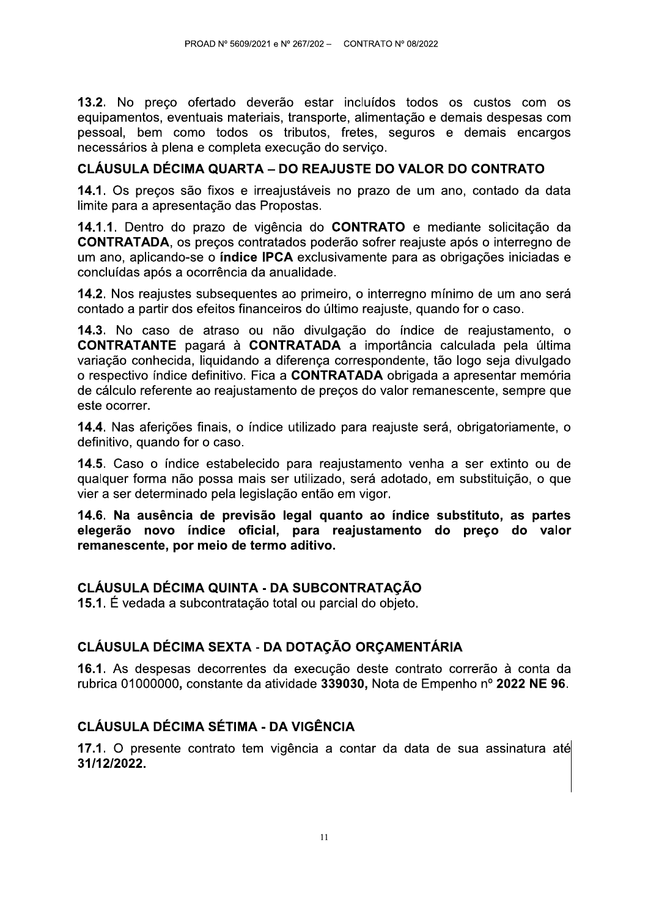13.2. No preco ofertado deverão estar incluídos todos os custos com os equipamentos, eventuais materiais, transporte, alimentação e demais despesas com pessoal, bem como todos os tributos, fretes, seguros e demais encargos necessários à plena e completa execução do serviço.

## CLÁUSULA DÉCIMA QUARTA – DO REAJUSTE DO VALOR DO CONTRATO

14.1. Os preços são fixos e irreajustáveis no prazo de um ano, contado da data limite para a apresentação das Propostas.

14.1.1. Dentro do prazo de vigência do CONTRATO e mediante solicitação da **CONTRATADA, os preços contratados poderão sofrer reajuste após o interregno de** um ano, aplicando-se o **índice IPCA** exclusivamente para as obrigações iniciadas e concluídas após a ocorrência da anualidade.

14.2. Nos reajustes subsequentes ao primeiro, o interregno mínimo de um ano será contado a partir dos efeitos financeiros do último reajuste, quando for o caso.

14.3. No caso de atraso ou não divulgação do índice de reajustamento, o **CONTRATANTE** pagará à **CONTRATADA** a importância calculada pela última variação conhecida, liquidando a diferença correspondente, tão logo seja divulgado o respectivo índice definitivo. Fica a CONTRATADA obrigada a apresentar memória de cálculo referente ao reajustamento de preços do valor remanescente, sempre que este ocorrer.

14.4. Nas aferições finais, o índice utilizado para reajuste será, obrigatoriamente, o definitivo, quando for o caso.

14.5. Caso o índice estabelecido para reajustamento venha a ser extinto ou de qualquer forma não possa mais ser utilizado, será adotado, em substituição, o que vier a ser determinado pela legislação então em vigor.

14.6. Na ausência de previsão legal quanto ao índice substituto, as partes elegerão novo índice oficial, para reajustamento do preço do valor remanescente, por meio de termo aditivo.

# CLÁUSULA DÉCIMA QUINTA - DA SUBCONTRATAÇÃO

15.1. É vedada a subcontratação total ou parcial do objeto.

# CLÁUSULA DÉCIMA SEXTA - DA DOTAÇÃO ORÇAMENTÁRIA

16.1. As despesas decorrentes da execução deste contrato correrão à conta da rubrica 01000000, constante da atividade 339030, Nota de Empenho nº 2022 NE 96.

# **CLÁUSULA DÉCIMA SÉTIMA - DA VIGÊNCIA**

17.1. O presente contrato tem vigência a contar da data de sua assinatura até 31/12/2022.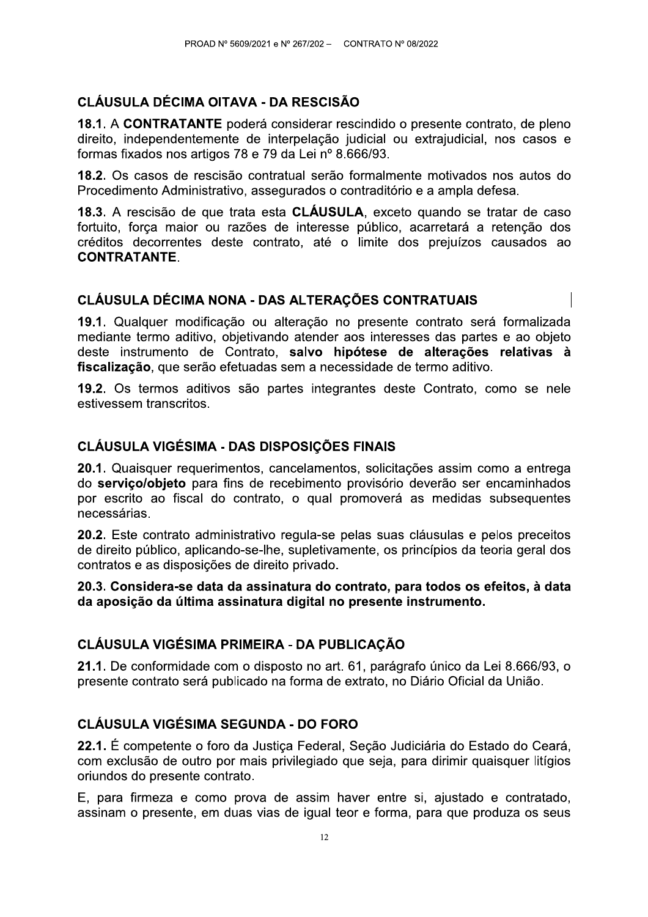# **CLÁUSULA DÉCIMA OITAVA - DA RESCISÃO**

18.1. A CONTRATANTE poderá considerar rescindido o presente contrato, de pleno direito, independentemente de interpelação judicial ou extrajudicial, nos casos e formas fixados nos artigos 78 e 79 da Lei nº 8.666/93.

18.2. Os casos de rescisão contratual serão formalmente motivados nos autos do Procedimento Administrativo, assegurados o contraditório e a ampla defesa.

18.3. A rescisão de que trata esta CLÁUSULA, exceto quando se tratar de caso fortuito, força maior ou razões de interesse público, acarretará a retenção dos créditos decorrentes deste contrato, até o limite dos prejuízos causados ao **CONTRATANTE.** 

### CLÁUSULA DÉCIMA NONA - DAS ALTERAÇÕES CONTRATUAIS

19.1. Qualquer modificação ou alteração no presente contrato será formalizada mediante termo aditivo, objetivando atender aos interesses das partes e ao objeto deste instrumento de Contrato, salvo hipótese de alterações relativas à fiscalização, que serão efetuadas sem a necessidade de termo aditivo.

19.2. Os termos aditivos são partes integrantes deste Contrato, como se nele estivessem transcritos.

#### **CLÁUSULA VIGÉSIMA - DAS DISPOSIÇÕES FINAIS**

20.1. Quaisquer requerimentos, cancelamentos, solicitações assim como a entrega do servico/objeto para fins de recebimento provisório deverão ser encaminhados por escrito ao fiscal do contrato, o qual promoverá as medidas subsequentes necessárias.

20.2. Este contrato administrativo regula-se pelas suas cláusulas e pelos preceitos de direito público, aplicando-se-lhe, supletivamente, os princípios da teoria geral dos contratos e as disposições de direito privado.

20.3. Considera-se data da assinatura do contrato, para todos os efeitos, à data da aposição da última assinatura digital no presente instrumento.

### CLÁUSULA VIGÉSIMA PRIMEIRA - DA PUBLICAÇÃO

21.1. De conformidade com o disposto no art. 61, parágrafo único da Lei 8.666/93, o presente contrato será publicado na forma de extrato, no Diário Oficial da União.

### **CLÁUSULA VIGÉSIMA SEGUNDA - DO FORO**

22.1. É competente o foro da Justica Federal. Secão Judiciária do Estado do Ceará. com exclusão de outro por mais privilegiado que seja, para dirimir quaisquer litígios oriundos do presente contrato.

E, para firmeza e como prova de assim haver entre si, ajustado e contratado, assinam o presente, em duas vias de igual teor e forma, para que produza os seus